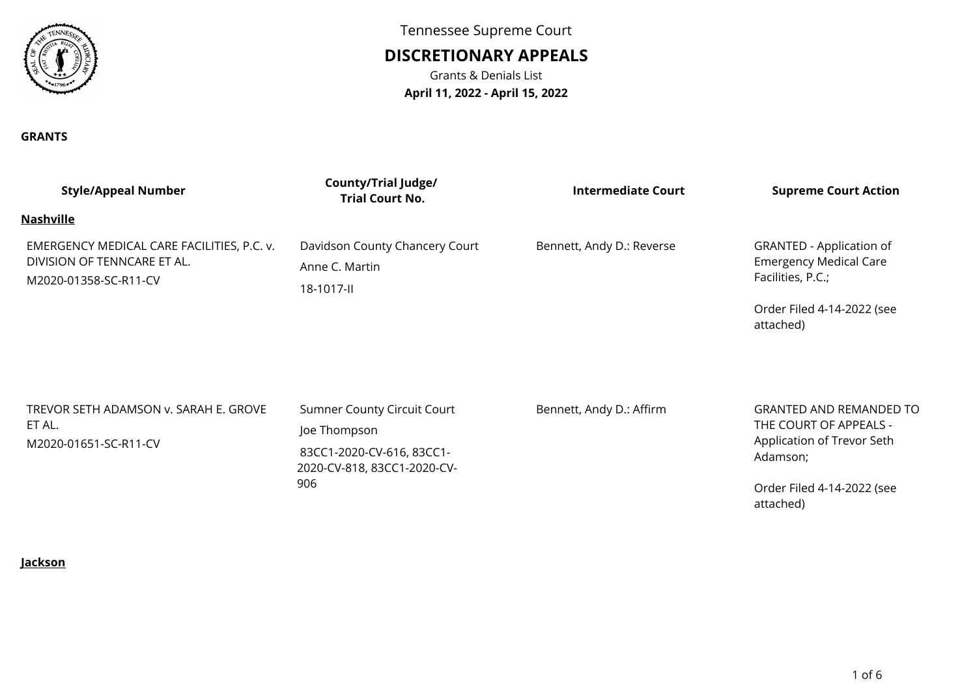

Tennessee Supreme Court

# **DISCRETIONARY APPEALS**

Grants & Denials List**April 11, 2022 - April 15, 2022**

#### **GRANTS**

| <b>Style/Appeal Number</b>                                                                         | <b>County/Trial Judge/</b><br><b>Trial Court No.</b>                                                                  | Intermediate Court        | <b>Supreme Court Action</b>                                                                                               |
|----------------------------------------------------------------------------------------------------|-----------------------------------------------------------------------------------------------------------------------|---------------------------|---------------------------------------------------------------------------------------------------------------------------|
| <b>Nashville</b>                                                                                   |                                                                                                                       |                           |                                                                                                                           |
| EMERGENCY MEDICAL CARE FACILITIES, P.C. v.<br>DIVISION OF TENNCARE ET AL.<br>M2020-01358-SC-R11-CV | Davidson County Chancery Court<br>Anne C. Martin<br>18-1017-II                                                        | Bennett, Andy D.: Reverse | GRANTED - Application of<br><b>Emergency Medical Care</b><br>Facilities, P.C.;<br>Order Filed 4-14-2022 (see<br>attached) |
| TREVOR SETH ADAMSON v. SARAH E. GROVE<br>ET AL.<br>M2020-01651-SC-R11-CV                           | <b>Sumner County Circuit Court</b><br>Joe Thompson<br>83CC1-2020-CV-616, 83CC1-<br>2020-CV-818, 83CC1-2020-CV-<br>906 | Bennett, Andy D.: Affirm  | <b>GRANTED AND REMANDED TO</b><br>THE COURT OF APPEALS -<br>Application of Trevor Seth<br>Adamson;                        |
|                                                                                                    |                                                                                                                       |                           | Order Filed 4-14-2022 (see                                                                                                |

**Jackson**

attached)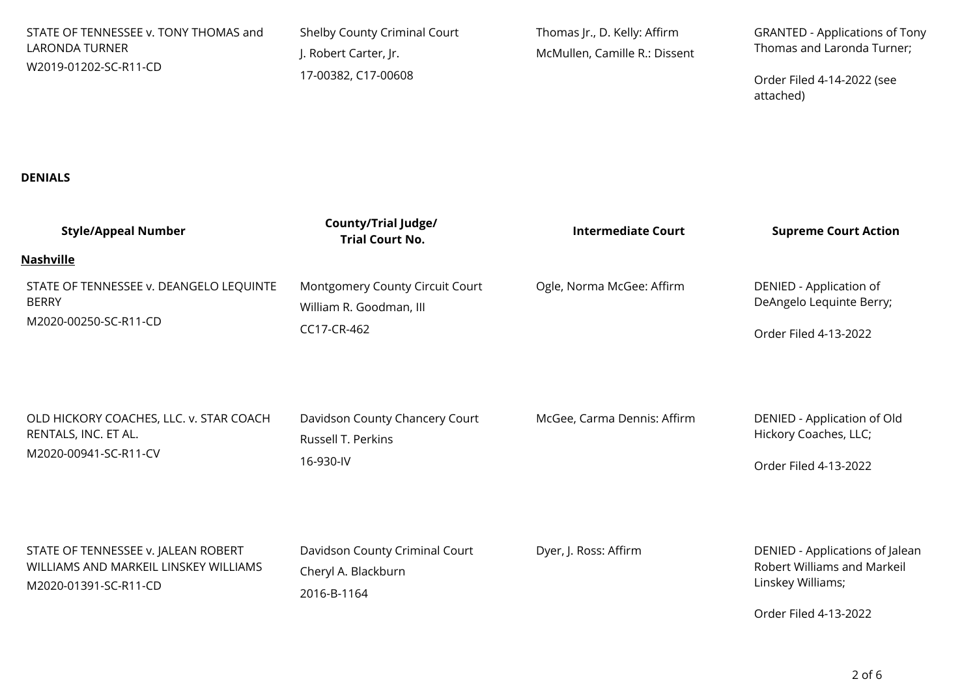| STATE OF TENNESSEE v. TONY THOMAS and<br><b>LARONDA TURNER</b><br>W2019-01202-SC-R11-CD               | Shelby County Criminal Court<br>J. Robert Carter, Jr.<br>17-00382, C17-00608 | Thomas Jr., D. Kelly: Affirm<br>McMullen, Camille R.: Dissent | <b>GRANTED - Applications of Tony</b><br>Thomas and Laronda Turner;<br>Order Filed 4-14-2022 (see<br>attached) |
|-------------------------------------------------------------------------------------------------------|------------------------------------------------------------------------------|---------------------------------------------------------------|----------------------------------------------------------------------------------------------------------------|
| <b>DENIALS</b>                                                                                        |                                                                              |                                                               |                                                                                                                |
| <b>Style/Appeal Number</b>                                                                            | <b>County/Trial Judge/</b><br><b>Trial Court No.</b>                         | <b>Intermediate Court</b>                                     | <b>Supreme Court Action</b>                                                                                    |
| <b>Nashville</b><br>STATE OF TENNESSEE v. DEANGELO LEQUINTE<br><b>BERRY</b><br>M2020-00250-SC-R11-CD  | Montgomery County Circuit Court<br>William R. Goodman, III<br>CC17-CR-462    | Ogle, Norma McGee: Affirm                                     | DENIED - Application of<br>DeAngelo Lequinte Berry;<br>Order Filed 4-13-2022                                   |
| OLD HICKORY COACHES, LLC. v. STAR COACH<br>RENTALS, INC. ET AL.<br>M2020-00941-SC-R11-CV              | Davidson County Chancery Court<br>Russell T. Perkins<br>16-930-IV            | McGee, Carma Dennis: Affirm                                   | DENIED - Application of Old<br>Hickory Coaches, LLC;<br>Order Filed 4-13-2022                                  |
| STATE OF TENNESSEE v. JALEAN ROBERT<br>WILLIAMS AND MARKEIL LINSKEY WILLIAMS<br>M2020-01391-SC-R11-CD | Davidson County Criminal Court<br>Cheryl A. Blackburn<br>2016-B-1164         | Dyer, J. Ross: Affirm                                         | DENIED - Applications of Jalean<br>Robert Williams and Markeil<br>Linskey Williams;<br>Order Filed 4-13-2022   |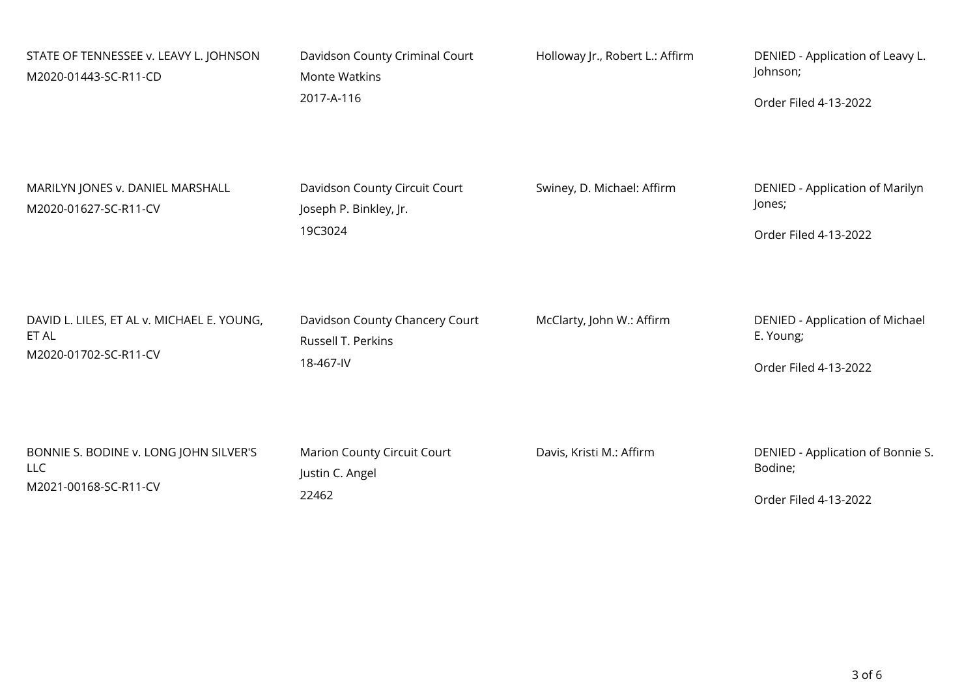| STATE OF TENNESSEE v. LEAVY L. JOHNSON<br>M2020-01443-SC-R11-CD | Davidson County Criminal Court<br><b>Monte Watkins</b><br>2017-A-116 | Holloway Jr., Robert L.: Affirm | DENIED - Application of Leavy L.<br>Johnson;<br>Order Filed 4-13-2022 |
|-----------------------------------------------------------------|----------------------------------------------------------------------|---------------------------------|-----------------------------------------------------------------------|
| MARILYN JONES v. DANIEL MARSHALL<br>M2020-01627-SC-R11-CV       | Davidson County Circuit Court<br>Joseph P. Binkley, Jr.<br>19C3024   | Swiney, D. Michael: Affirm      | DENIED - Application of Marilyn<br>Jones;<br>Order Filed 4-13-2022    |
| DAVID L. LILES, ET AL v. MICHAEL E. YOUNG,                      | Davidson County Chancery Court                                       | McClarty, John W.: Affirm       | DENIED - Application of Michael                                       |
| ET AL                                                           | Russell T. Perkins                                                   |                                 | E. Young;                                                             |
| M2020-01702-SC-R11-CV                                           | 18-467-IV                                                            |                                 | Order Filed 4-13-2022                                                 |
| BONNIE S. BODINE v. LONG JOHN SILVER'S                          | Marion County Circuit Court                                          | Davis, Kristi M.: Affirm        | DENIED - Application of Bonnie S.                                     |
| <b>LLC</b>                                                      | Justin C. Angel                                                      |                                 | Bodine;                                                               |
| M2021-00168-SC-R11-CV                                           | 22462                                                                |                                 | Order Filed 4-13-2022                                                 |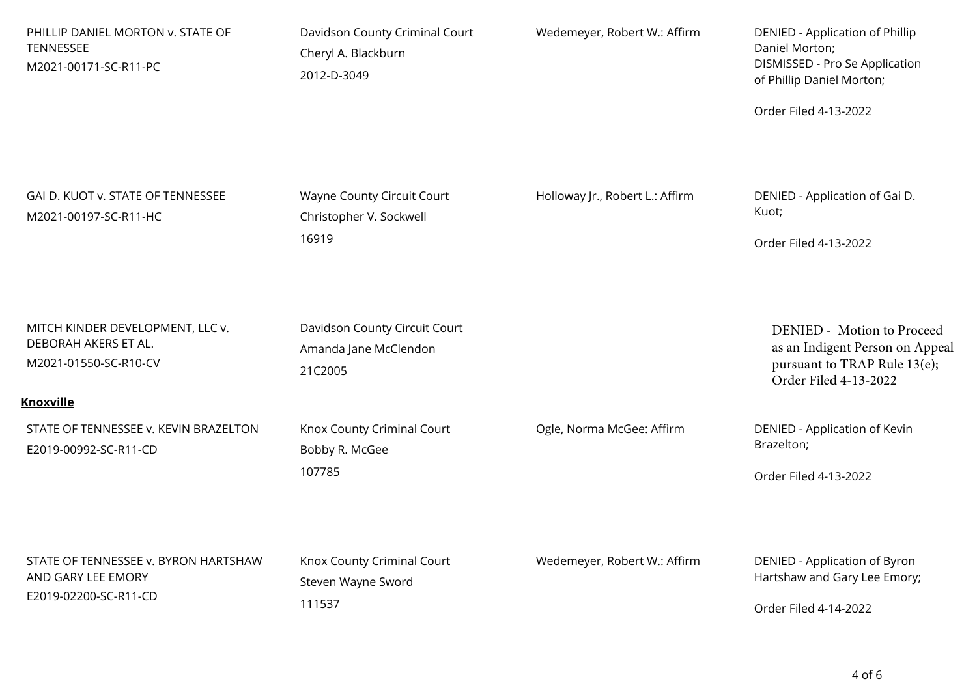| PHILLIP DANIEL MORTON v. STATE OF<br>TENNESSEE<br>M2021-00171-SC-R11-PC                               | Davidson County Criminal Court<br>Cheryl A. Blackburn<br>2012-D-3049 | Wedemeyer, Robert W.: Affirm    | DENIED - Application of Phillip<br>Daniel Morton;<br>DISMISSED - Pro Se Application<br>of Phillip Daniel Morton;<br>Order Filed 4-13-2022 |
|-------------------------------------------------------------------------------------------------------|----------------------------------------------------------------------|---------------------------------|-------------------------------------------------------------------------------------------------------------------------------------------|
| GAI D. KUOT v. STATE OF TENNESSEE<br>M2021-00197-SC-R11-HC                                            | Wayne County Circuit Court<br>Christopher V. Sockwell<br>16919       | Holloway Jr., Robert L.: Affirm | DENIED - Application of Gai D.<br>Kuot;<br>Order Filed 4-13-2022                                                                          |
| MITCH KINDER DEVELOPMENT, LLC v.<br>DEBORAH AKERS ET AL.<br>M2021-01550-SC-R10-CV<br><b>Knoxville</b> | Davidson County Circuit Court<br>Amanda Jane McClendon<br>21C2005    |                                 | DENIED - Motion to Proceed<br>as an Indigent Person on Appeal<br>pursuant to TRAP Rule 13(e);<br>Order Filed 4-13-2022                    |
| STATE OF TENNESSEE v. KEVIN BRAZELTON<br>E2019-00992-SC-R11-CD                                        | Knox County Criminal Court<br>Bobby R. McGee<br>107785               | Ogle, Norma McGee: Affirm       | DENIED - Application of Kevin<br>Brazelton;<br>Order Filed 4-13-2022                                                                      |
| STATE OF TENNESSEE v. BYRON HARTSHAW<br>AND GARY LEE EMORY<br>E2019-02200-SC-R11-CD                   | Knox County Criminal Court<br>Steven Wayne Sword<br>111537           | Wedemeyer, Robert W.: Affirm    | DENIED - Application of Byron<br>Hartshaw and Gary Lee Emory;<br>Order Filed 4-14-2022                                                    |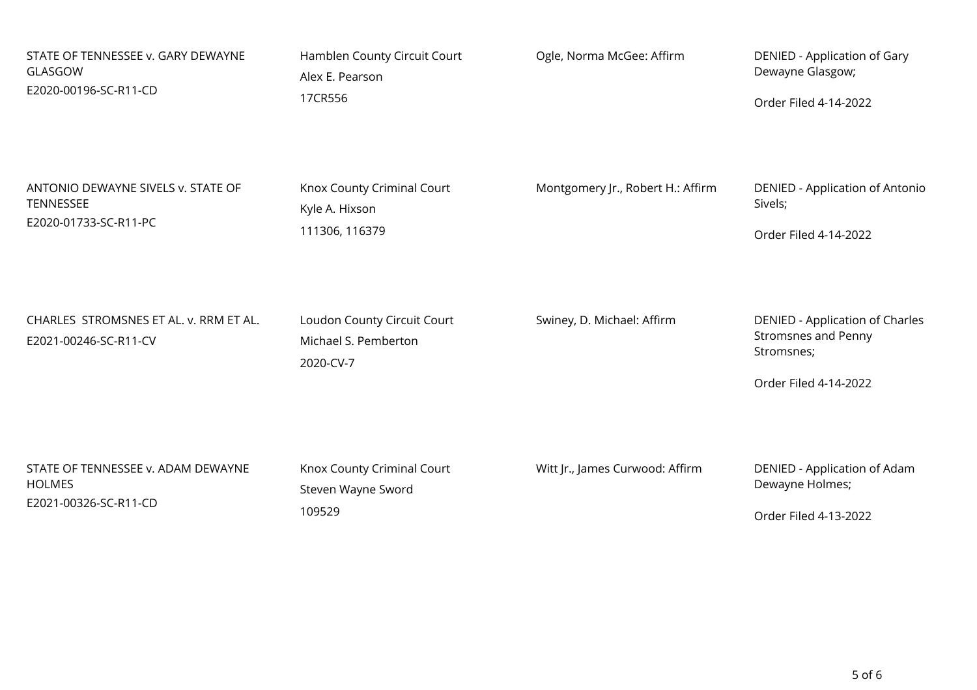| STATE OF TENNESSEE v. GARY DEWAYNE                              | Hamblen County Circuit Court                                     | Ogle, Norma McGee: Affirm         | DENIED - Application of Gary                                                                         |
|-----------------------------------------------------------------|------------------------------------------------------------------|-----------------------------------|------------------------------------------------------------------------------------------------------|
| GLASGOW                                                         | Alex E. Pearson                                                  |                                   | Dewayne Glasgow;                                                                                     |
| E2020-00196-SC-R11-CD                                           | 17CR556                                                          |                                   | Order Filed 4-14-2022                                                                                |
| ANTONIO DEWAYNE SIVELS v. STATE OF                              | Knox County Criminal Court                                       | Montgomery Jr., Robert H.: Affirm | DENIED - Application of Antonio                                                                      |
| TENNESSEE                                                       | Kyle A. Hixson                                                   |                                   | Sivels;                                                                                              |
| E2020-01733-SC-R11-PC                                           | 111306, 116379                                                   |                                   | Order Filed 4-14-2022                                                                                |
| CHARLES STROMSNES ET AL. v. RRM ET AL.<br>E2021-00246-SC-R11-CV | Loudon County Circuit Court<br>Michael S. Pemberton<br>2020-CV-7 | Swiney, D. Michael: Affirm        | DENIED - Application of Charles<br><b>Stromsnes and Penny</b><br>Stromsnes;<br>Order Filed 4-14-2022 |
| STATE OF TENNESSEE v. ADAM DEWAYNE                              | Knox County Criminal Court                                       | Witt Jr., James Curwood: Affirm   | DENIED - Application of Adam                                                                         |
| <b>HOLMES</b>                                                   | Steven Wayne Sword                                               |                                   | Dewayne Holmes;                                                                                      |
| E2021-00326-SC-R11-CD                                           | 109529                                                           |                                   | Order Filed 4-13-2022                                                                                |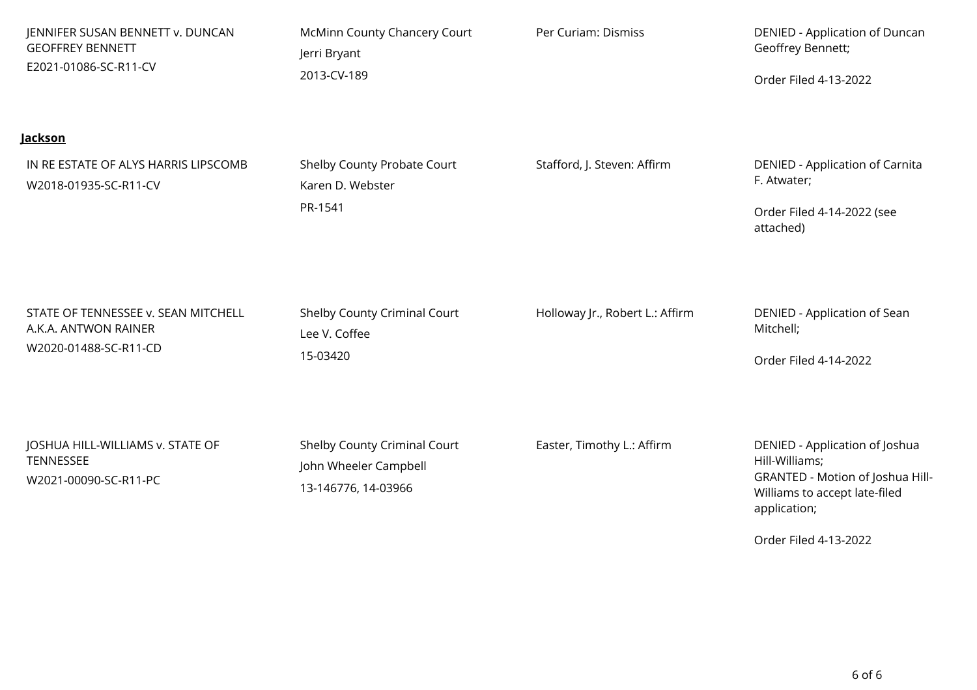| JENNIFER SUSAN BENNETT v. DUNCAN                                                | McMinn County Chancery Court                                                 | Per Curiam: Dismiss             | DENIED - Application of Duncan                                                                                                                                 |
|---------------------------------------------------------------------------------|------------------------------------------------------------------------------|---------------------------------|----------------------------------------------------------------------------------------------------------------------------------------------------------------|
| <b>GEOFFREY BENNETT</b>                                                         | Jerri Bryant                                                                 |                                 | Geoffrey Bennett;                                                                                                                                              |
| E2021-01086-SC-R11-CV                                                           | 2013-CV-189                                                                  |                                 | Order Filed 4-13-2022                                                                                                                                          |
| <u>Jackson</u><br>IN RE ESTATE OF ALYS HARRIS LIPSCOMB<br>W2018-01935-SC-R11-CV | Shelby County Probate Court<br>Karen D. Webster<br>PR-1541                   | Stafford, J. Steven: Affirm     | DENIED - Application of Carnita<br>F. Atwater;<br>Order Filed 4-14-2022 (see<br>attached)                                                                      |
| STATE OF TENNESSEE v. SEAN MITCHELL                                             | Shelby County Criminal Court                                                 | Holloway Jr., Robert L.: Affirm | DENIED - Application of Sean                                                                                                                                   |
| A.K.A. ANTWON RAINER                                                            | Lee V. Coffee                                                                |                                 | Mitchell;                                                                                                                                                      |
| W2020-01488-SC-R11-CD                                                           | 15-03420                                                                     |                                 | Order Filed 4-14-2022                                                                                                                                          |
| JOSHUA HILL-WILLIAMS v. STATE OF<br><b>TENNESSEE</b><br>W2021-00090-SC-R11-PC   | Shelby County Criminal Court<br>John Wheeler Campbell<br>13-146776, 14-03966 | Easter, Timothy L.: Affirm      | DENIED - Application of Joshua<br>Hill-Williams;<br>GRANTED - Motion of Joshua Hill-<br>Williams to accept late-filed<br>application;<br>Order Filed 4-13-2022 |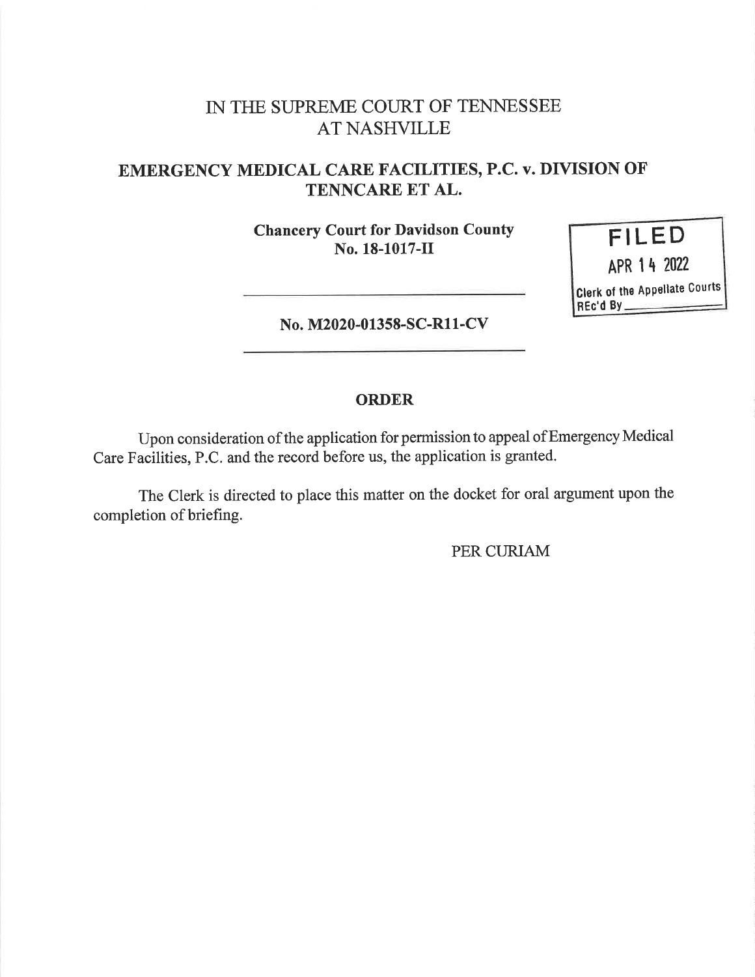# IN THE SUPREME COURT OF TENNESSEE AT NASHVILLE

## EMERGENCY MEDICAL CARE FACILITIES, P.C. v. DIVISION OF TENNCARE ET AL.

Chancery Court for Davidson County No. 18-1017-11



No. M2020-01358-SC-R11-CV

#### ORDER

Upon consideration of the application for permission to appeal ofEmergency Medical Care Facilities, P.C. and the record before us, the application is granted.

The Clerk is directed to place this matter on the docket for oral argument upon the completion of briefing.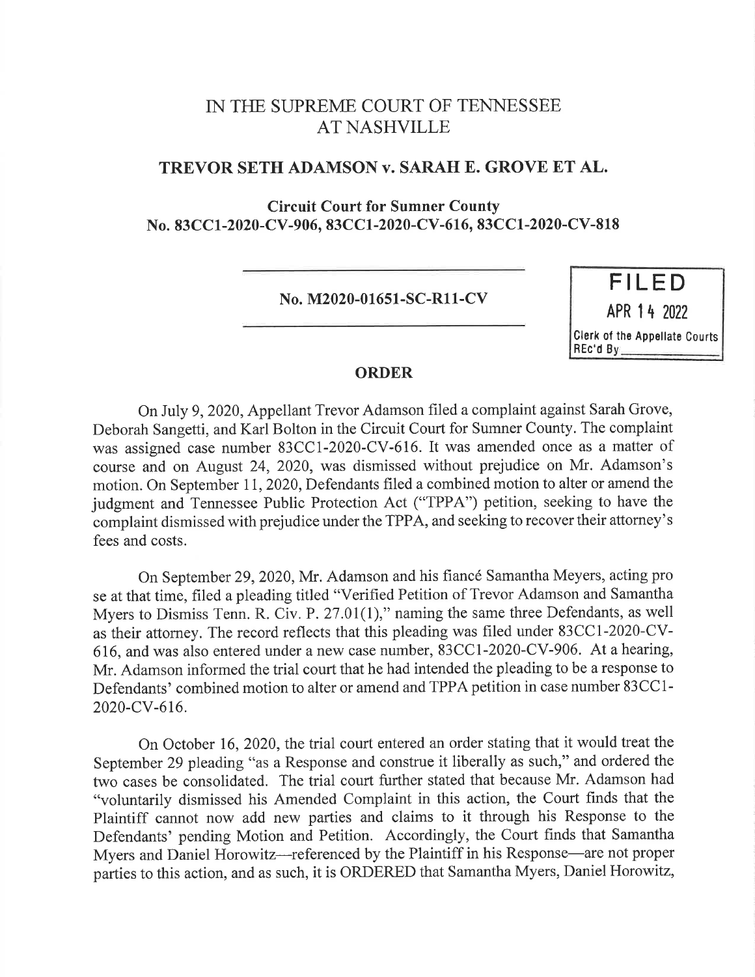### IN THE SUPREME COURT OF TENNESSEE AT NASHVILLE

#### TREVOR SETH ADAMSON v. SARAH E. GROVE ET AL.

Circuit Court for Sumner County No. 83CC1-2020-CV-906, 83CC1-2020-CV-616, 83CC1-2020-CV-818

No. M2020-01651-SC-R11-CV

FILED APR 1 4 2022 Clerk of the Appellate Courts REc'd By

#### ORDER

On July 9, 2020, Appellant Trevor Adamson filed a complaint against Sarah Grove, Deborah Sangetti, and Karl Bolton in the Circuit Court for Sumner County. The complaint was assigned case number 83CC1-2020-CV-616. It was amended once as a matter of course and on August 24, 2020, was dismissed without prejudice on Mr. Adamson's motion. On September 11, 2020, Defendants filed a combined motion to alter or amend the judgment and Tennessee Public Protection Act ("TPPA") petition, seeking to have the complaint dismissed with prejudice under the TPPA, and seeking to recover their attorney's fees and costs.

On September 29, 2020, Mr. Adamson and his fiancé Samantha Meyers, acting pro se at that time, filed a pleading titled "Verified Petition of Trevor Adamson and Samantha Myers to Dismiss Tenn. R. Civ. P. 27.01(1)," naming the same three Defendants, as well as their attorney. The record reflects that this pleading was filed under 83CC1-2020-CV-616, and was also entered under a new case number, 83CC1-2020-CV-906. At a hearing, Mr. Adamson informed the trial court that he had intended the pleading to be a response to Defendants' combined motion to alter or amend and TPPA petition in case number 83CC1- 2020-CV-616.

On October 16, 2020, the trial court entered an order stating that it would treat the September 29 pleading "as a Response and construe it liberally as such," and ordered the two cases be consolidated. The trial court further stated that because Mr. Adamson had "voluntarily dismissed his Amended Complaint in this action, the Court finds that the Plaintiff cannot now add new parties and claims to it through his Response to the Defendants' pending Motion and Petition. Accordingly, the Court finds that Samantha Myers and Daniel Horowitz—referenced by the Plaintiff in his Response—are not proper parties to this action, and as such, it is ORDERED that Samantha Myers, Daniel Horowitz,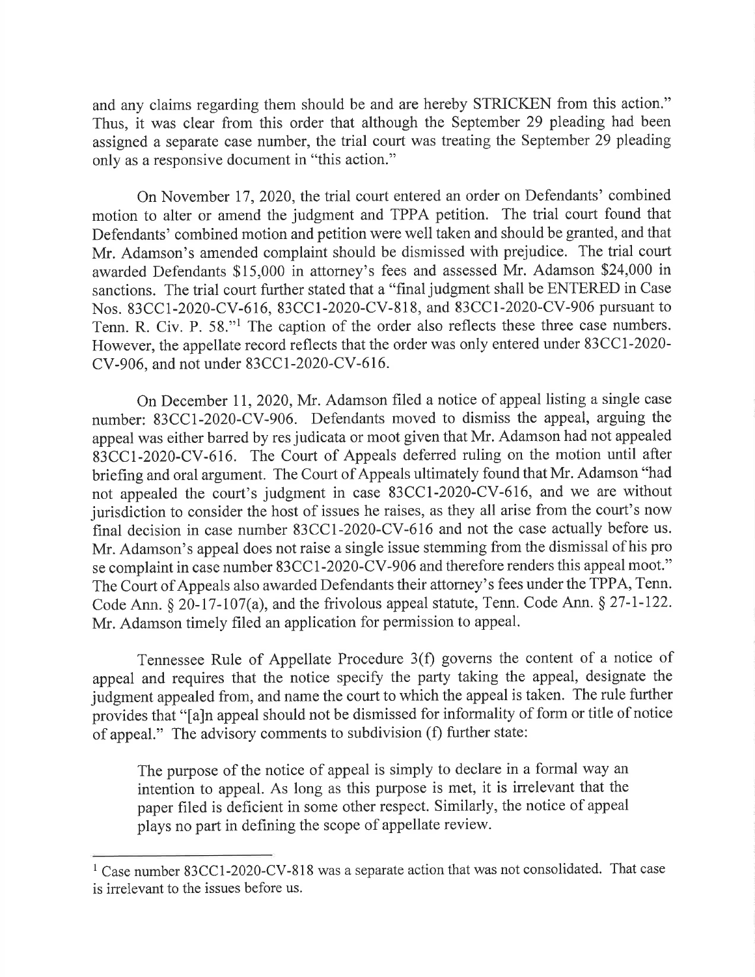and any claims regarding them should be and are hereby STRICKEN from this action." Thus, it was clear from this order that although the September 29 pleading had been assigned a separate case number, the trial court was treating the September 29 pleading only as <sup>a</sup>responsive document in "this action."

On November 17, 2020, the trial court entered an order on Defendants' combined motion to alter or amend the judgment and TPPA petition. The trial court found that Defendants' combined motion and petition were well taken and should be granted, and that Mr. Adamson's amended complaint should be dismissed with prejudice. The trial court awarded Defendants \$15,000 in attorney's fees and assessed Mr. Adamson \$24,000 in sanctions. The trial court further stated that a "final judgment shall be ENTERED in Case Nos. 83CC1-2020-CV-616, 83CC1-2020-CV-818, and 83CC1-2020-CV-906 pursuant to Tenn. R. Civ. P. 58."1 The caption of the order also reflects these three case numbers. However, the appellate record reflects that the order was only entered under 83CC1-2020- CV-906, and not under 83CC1-2020-CV-616.

On December 11, 2020, Mr. Adamson filed a notice of appeal listing a single case number: 83CC1-2020-CV-906. Defendants moved to dismiss the appeal, arguing the appeal was either barred by res judicata or moot given that Mr. Adamson had not appealed 83CC1-2020-CV-616. The Court of Appeals deferred ruling on the motion until after briefing and oral argument. The Court of Appeals ultimately found that Mr. Adamson "had not appealed the court's judgment in case 83CC1-2020-CV-616, and we are without jurisdiction to consider the host of issues he raises, as they all arise from the court's now final decision in case number 83CC1-2020-CV-616 and not the case actually before us. Mr. Adamson's appeal does not raise a single issue stemming from the dismissal of his pro se complaint in case number 83CC1-2020-CV-906 and therefore renders this appeal moot." The Court of Appeals also awarded Defendants their attorney's fees under the TPPA, Tenn. Code Ann. § 20-17-107(a), and the frivolous appeal statute, Tenn. Code Ann. § 27-1-122. Mr. Adamson timely filed an application for permission to appeal.

Tennessee Rule of Appellate Procedure 3(f) governs the content of a notice of appeal and requires that the notice specify the party taking the appeal, designate the judgment appealed from, and name the court to which the appeal is taken. The rule further provides that "[a]n appeal should not be dismissed for informality of form or title of notice of appeal." The advisory comments to subdivision (f) further state:

The purpose of the notice of appeal is simply to declare in a formal way an intention to appeal. As long as this purpose is met, it is irrelevant that the paper filed is deficient in some other respect. Similarly, the notice of appeal plays no part in defining the scope of appellate review.

 $1$  Case number 83CC1-2020-CV-818 was a separate action that was not consolidated. That case is irrelevant to the issues before us.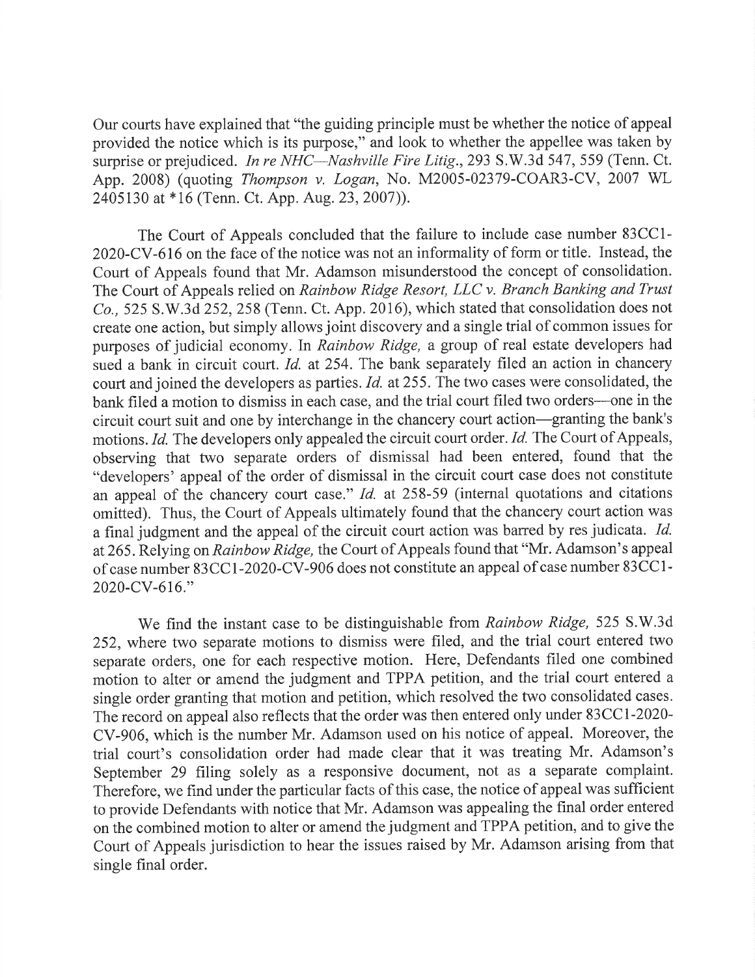Our courts have explained that "the guiding principle must be whether the notice of appeal provided the notice which is its purpose," and look to whether the appellee was taken by surprise or prejudiced. In re NHC—Nashville Fire Litig., 293 S.W.3d 547, 559 (Tenn. Ct. App. 2008) (quoting Thompson v. Logan, No. M2005-02379-COAR3-CV, 2007 WL 2405130 at \*16 (Tenn. Ct. App. Aug. 23, 2007)).

The Court of Appeals concluded that the failure to include case number 83CC1- 2020-CV-616 on the face of the notice was not an informality of form or title. Instead, the Court of Appeals found that Mr. Adamson misunderstood the concept of consolidation. The Court of Appeals relied on Rainbow Ridge Resort, LLC v. Branch Banking and Trust Co., 525 S.W.3d 252, 258 (Tenn. Ct. App. 2016), which stated that consolidation does not create one action, but simply allows joint discovery and a single trial of common issues for purposes of judicial economy. In Rainbow Ridge, a group of real estate developers had sued a bank in circuit court. Id. at 254. The bank separately filed an action in chancery court and joined the developers as parties. Id. at 255. The two cases were consolidated, the bank filed a motion to dismiss in each case, and the trial court filed two orders—one in the circuit court suit and one by interchange in the chancery court action—granting the bank's motions. Id. The developers only appealed the circuit court order. Id. The Court of Appeals, observing that two separate orders of dismissal had been entered, found that the "developers' appeal of the order of dismissal in the circuit court case does not constitute an appeal of the chancery court case." Id. at 258-59 (internal quotations and citations omitted). Thus, the Court of Appeals ultimately found that the chancery court action was <sup>a</sup>final judgment and the appeal of the circuit court action was barred by res judicata. Id. at 265. Relying on Rainbow Ridge, the Court of Appeals found that "Mr. Adamson's appeal of case number 83CC1-2020-CV-906 does not constitute an appeal of case number 83CC1- 2020-CV-616."

We find the instant case to be distinguishable from Rainbow Ridge, 525 S.W.3d 252, where two separate motions to dismiss were filed, and the trial court entered two separate orders, one for each respective motion. Here, Defendants filed one combined motion to alter or amend the judgment and TPPA petition, and the trial court entered <sup>a</sup> single order granting that motion and petition, which resolved the two consolidated cases. The record on appeal also reflects that the order was then entered only under 83CC1-2020- CV-906, which is the number Mr. Adamson used on his notice of appeal. Moreover, the trial court's consolidation order had made clear that it was treating Mr. Adamson's September 29 filing solely as a responsive document, not as a separate complaint. Therefore, we find under the particular facts of this case, the notice of appeal was sufficient to provide Defendants with notice that Mr. Adamson was appealing the final order entered on the combined motion to alter or amend the judgment and TPPA petition, and to give the Court of Appeals jurisdiction to hear the issues raised by Mr. Adamson arising from that single final order.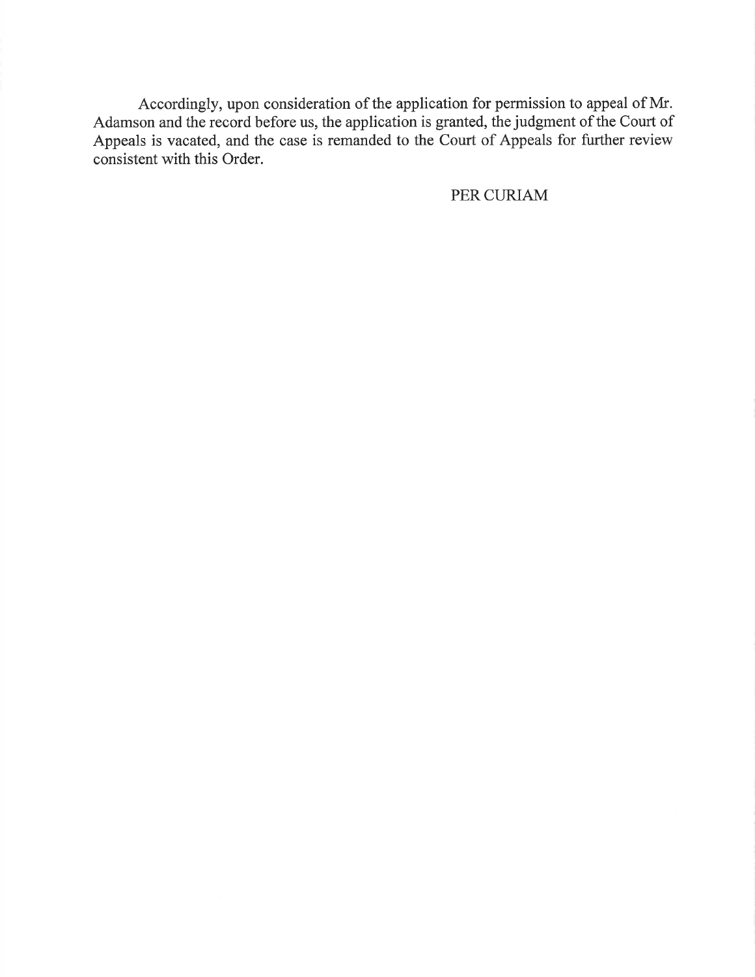Accordingly, upon consideration of the application for permission to appeal of Mr. Adamson and the record before us, the application is granted, the judgment of the Court of Appeals is vacated, and the case is remanded to the Court of Appeals for further review consistent with this Order.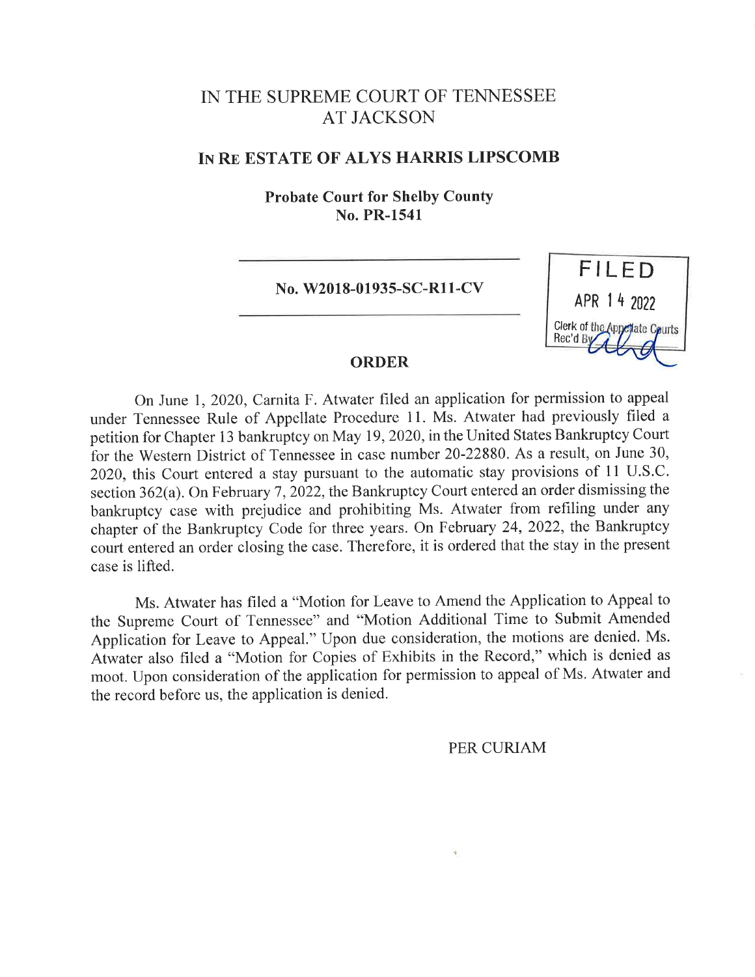## IN THE SUPREME COURT OF TENNESSEE AT JACKSON

#### IN RE ESTATE OF ALYS HARRIS LIPSCOMB

Probate Court for Shelby County No. PR-1541

No. W2018-01935-SC-R11-CV



#### ORDER

On June 1, 2020, Carnita F. Atwater filed an application for permission to appeal under Tennessee Rule of Appellate Procedure 11. Ms. Atwater had previously filed <sup>a</sup> petition for Chapter 13 bankruptcy on May 19, 2020, in the United States Bankruptcy Court for the Western District of Tennessee in case number 20-22880. As a result, on June 30, 2020, this Court entered a stay pursuant to the automatic stay provisions of 11 U.S.C. section 362(a). On February 7, 2022, the Bankruptcy Court entered an order dismissing the bankruptcy case with prejudice and prohibiting Ms. Atwater from refiling under any chapter of the Bankruptcy Code for three years. On February 24, 2022, the Bankruptcy court entered an order closing the case. Therefore, it is ordered that the stay in the present case is lifted.

Ms. Atwater has filed a "Motion for Leave to Amend the Application to Appeal to the Supreme Court of Tennessee" and "Motion Additional Time to Submit Amended Application for Leave to Appeal." Upon due consideration, the motions are denied. Ms. Atwater also filed a "Motion for Copies of Exhibits in the Record," which is denied as moot. Upon consideration of the application for permission to appeal of Ms. Atwater and the record before us, the application is denied.